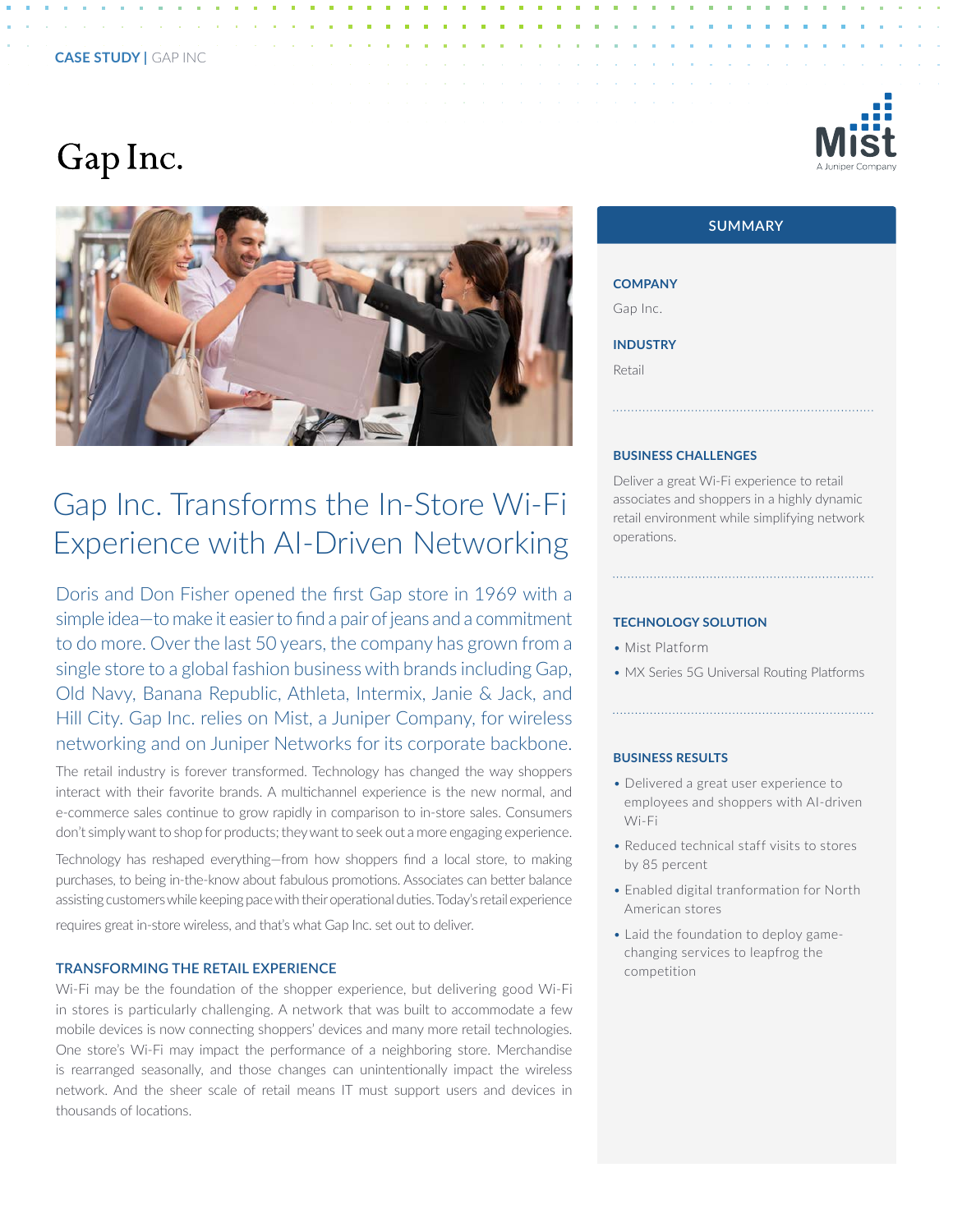# Gap Inc.



## Gap Inc. Transforms the In-Store Wi-Fi Experience with AI-Driven Networking

Doris and Don Fisher opened the first Gap store in 1969 with a simple idea—to make it easier to find a pair of jeans and a commitment to do more. Over the last 50 years, the company has grown from a single store to a global fashion business with brands including Gap, Old Navy, Banana Republic, Athleta, Intermix, Janie & Jack, and Hill City. Gap Inc. relies on Mist, a Juniper Company, for wireless networking and on Juniper Networks for its corporate backbone.

The retail industry is forever transformed. Technology has changed the way shoppers interact with their favorite brands. A multichannel experience is the new normal, and e-commerce sales continue to grow rapidly in comparison to in-store sales. Consumers don't simply want to shop for products; they want to seek out a more engaging experience.

Technology has reshaped everything—from how shoppers find a local store, to making purchases, to being in-the-know about fabulous promotions. Associates can better balance assisting customers while keeping pace with their operational duties. Today's retail experience requires great in-store wireless, and that's what Gap Inc. set out to deliver.

#### **TRANSFORMING THE RETAIL EXPERIENCE**

Wi-Fi may be the foundation of the shopper experience, but delivering good Wi-Fi in stores is particularly challenging. A network that was built to accommodate a few mobile devices is now connecting shoppers' devices and many more retail technologies. One store's Wi-Fi may impact the performance of a neighboring store. Merchandise is rearranged seasonally, and those changes can unintentionally impact the wireless network. And the sheer scale of retail means IT must support users and devices in thousands of locations.





| <b>COMPANY</b>  |
|-----------------|
| Gap Inc.        |
| <b>INDUSTRY</b> |
| Retail          |

#### **BUSINESS CHALLENGES**

Deliver a great Wi-Fi experience to retail associates and shoppers in a highly dynamic retail environment while simplifying network operations.

#### **TECHNOLOGY SOLUTION**

- Mist Platform
- MX Series 5G Universal Routing Platforms

#### **BUSINESS RESULTS**

- Delivered a great user experience to employees and shoppers with AI-driven Wi-Fi
- Reduced technical staff visits to stores by 85 percent
- Enabled digital tranformation for North American stores
- Laid the foundation to deploy gamechanging services to leapfrog the competition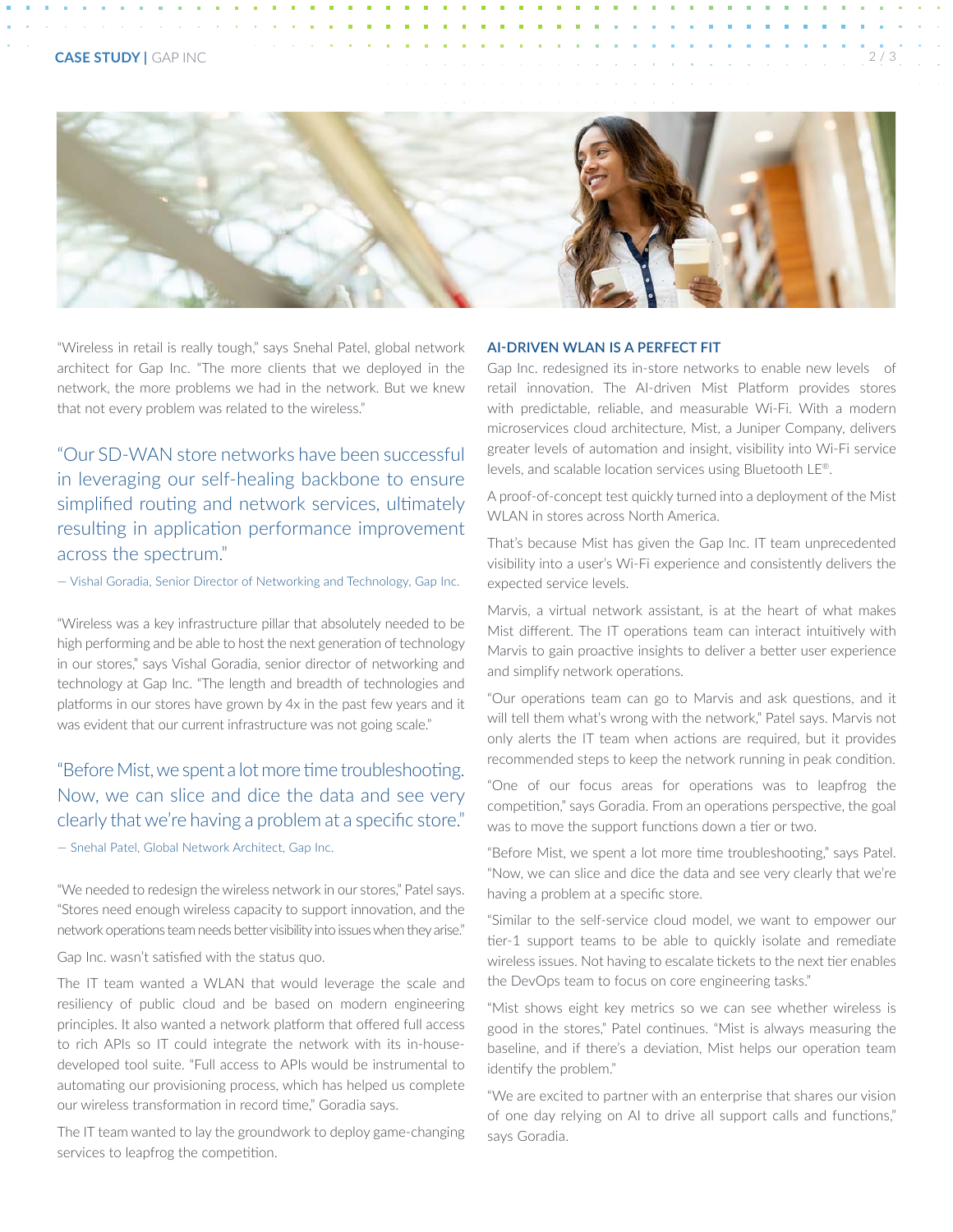

"Wireless in retail is really tough," says Snehal Patel, global network architect for Gap Inc. "The more clients that we deployed in the network, the more problems we had in the network. But we knew that not every problem was related to the wireless."

"Our SD-WAN store networks have been successful in leveraging our self-healing backbone to ensure simplified routing and network services, ultimately resulting in application performance improvement across the spectrum."

— Vishal Goradia, Senior Director of Networking and Technology, Gap Inc.

"Wireless was a key infrastructure pillar that absolutely needed to be high performing and be able to host the next generation of technology in our stores," says Vishal Goradia, senior director of networking and technology at Gap Inc. "The length and breadth of technologies and platforms in our stores have grown by 4x in the past few years and it was evident that our current infrastructure was not going scale."

### "Before Mist, we spent a lot more time troubleshooting. Now, we can slice and dice the data and see very clearly that we're having a problem at a specific store."

— Snehal Patel, Global Network Architect, Gap Inc.

"We needed to redesign the wireless network in our stores," Patel says. "Stores need enough wireless capacity to support innovation, and the network operations team needs better visibility into issues when they arise."

Gap Inc. wasn't satisfied with the status quo.

The IT team wanted a WLAN that would leverage the scale and resiliency of public cloud and be based on modern engineering principles. It also wanted a network platform that offered full access to rich APIs so IT could integrate the network with its in-housedeveloped tool suite. "Full access to APIs would be instrumental to automating our provisioning process, which has helped us complete our wireless transformation in record time," Goradia says.

The IT team wanted to lay the groundwork to deploy game-changing services to leapfrog the competition.

#### **AI-DRIVEN WLAN IS A PERFECT FIT**

Gap Inc. redesigned its in-store networks to enable new levels of retail innovation. The AI-driven Mist Platform provides stores with predictable, reliable, and measurable Wi-Fi. With a modern microservices cloud architecture, Mist, a Juniper Company, delivers greater levels of automation and insight, visibility into Wi-Fi service levels, and scalable location services using Bluetooth LE®.

A proof-of-concept test quickly turned into a deployment of the Mist WLAN in stores across North America.

That's because Mist has given the Gap Inc. IT team unprecedented visibility into a user's Wi-Fi experience and consistently delivers the expected service levels.

Marvis, a virtual network assistant, is at the heart of what makes Mist different. The IT operations team can interact intuitively with Marvis to gain proactive insights to deliver a better user experience and simplify network operations.

"Our operations team can go to Marvis and ask questions, and it will tell them what's wrong with the network," Patel says. Marvis not only alerts the IT team when actions are required, but it provides recommended steps to keep the network running in peak condition.

"One of our focus areas for operations was to leapfrog the competition," says Goradia. From an operations perspective, the goal was to move the support functions down a tier or two.

"Before Mist, we spent a lot more time troubleshooting," says Patel. "Now, we can slice and dice the data and see very clearly that we're having a problem at a specific store.

"Similar to the self-service cloud model, we want to empower our tier-1 support teams to be able to quickly isolate and remediate wireless issues. Not having to escalate tickets to the next tier enables the DevOps team to focus on core engineering tasks."

"Mist shows eight key metrics so we can see whether wireless is good in the stores," Patel continues. "Mist is always measuring the baseline, and if there's a deviation, Mist helps our operation team identify the problem."

"We are excited to partner with an enterprise that shares our vision of one day relying on AI to drive all support calls and functions," says Goradia.